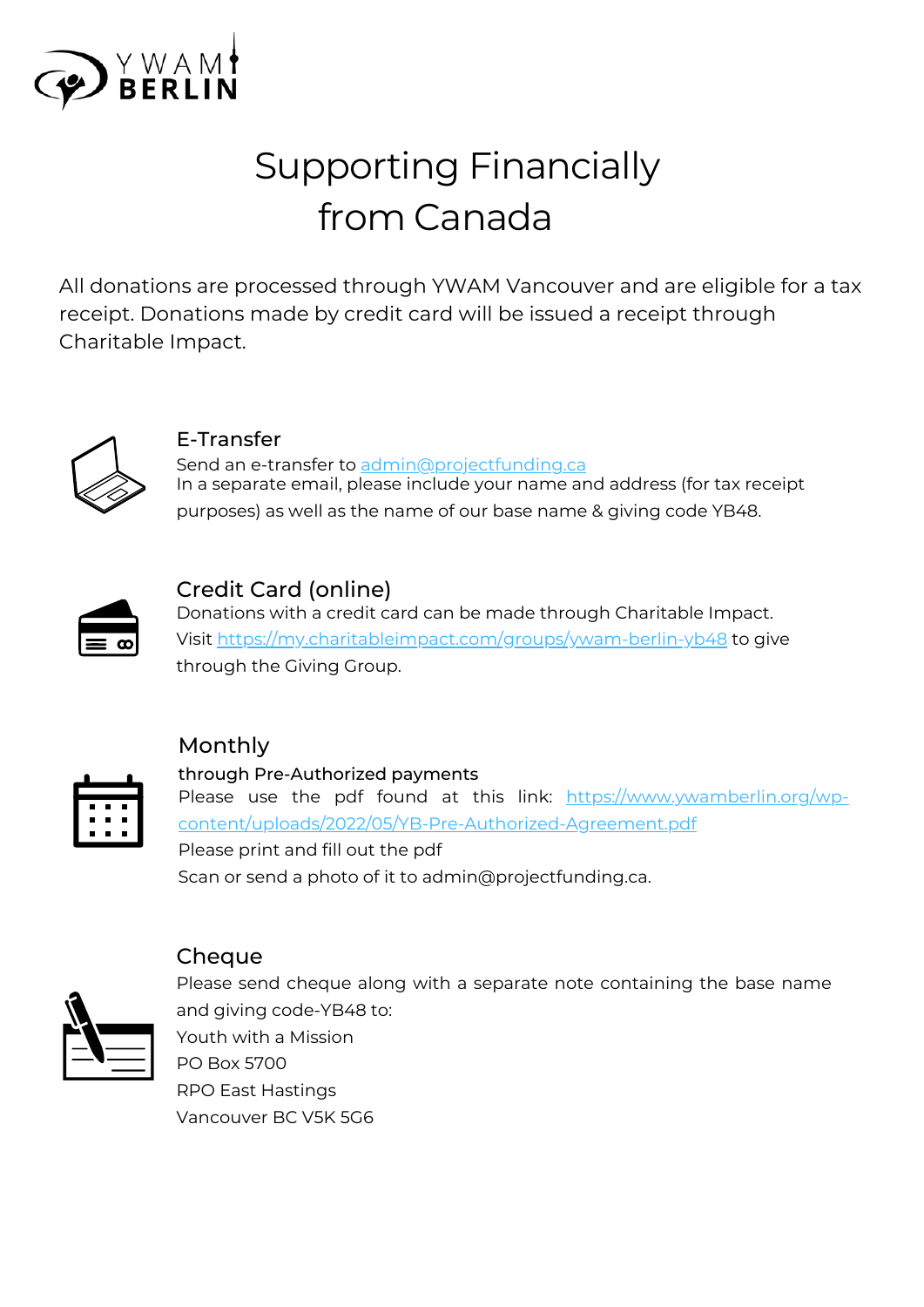

# Supporting Financially from Canada

All donations are processed through YWAM Vancouver and are eligible for a tax receipt. Donations made by credit card will be issued a receipt through Charitable Impact.



E-Transfer

Send an e-transfer to [admin@projectfunding.ca](mailto:admin@projectfunding.ca) In a separate email, please include your name and address (for tax receipt purposes) as well as the name of our base name & giving code YB48.



## Credit Card (online)

Donations with a credit card can be made through Charitable Impact. Visit <https://my.charitableimpact.com/groups/ywam-berlin-yb48> to give through the Giving Group.

### Monthly



# through Pre-Authorized payments

Please use the pdf found at this link: https://www.ywamberlin.org/wp[content/uploads/2022/05/YB-Pre-Authorized-Agreement.pdf](https://www.ywamberlin.org/wp-content/uploads/2022/05/YB-Pre-Authorized-Agreement.pdf) Please print and fill out the pdf Scan or send a photo of it to admin@projectfunding.ca.



#### Cheque

Please send cheque along with a separate note containing the base name and giving code-YB48 to: Youth with a Mission PO Box 5700

RPO East Hastings Vancouver BC V5K 5G6